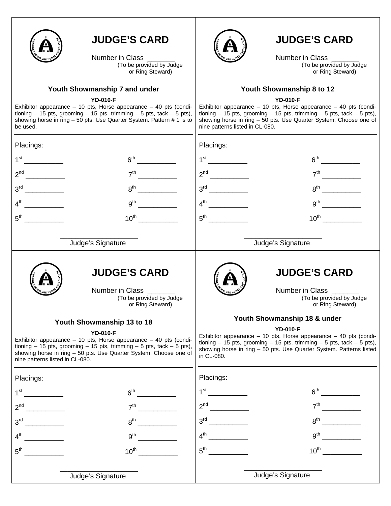

Number in Class<br>(To be provided by Judge or Ring Steward)

## **Youth Showmanship 7 and under**

#### **YD-010-F**

Exhibitor appearance  $-10$  pts, Horse appearance  $-40$  pts (conditioning  $-15$  pts, grooming  $-15$  pts, trimming  $-5$  pts, tack  $-5$  pts), showing horse in ring – 50 pts. Use Quarter System. Pattern # 1 is to be used.



# **JUDGE'S CARD**

Number in Class<br>(To be provided by Judge or Ring Steward)

## **Youth Showmanship 8 to 12**

**YD-010-F** 

Exhibitor appearance – 10 pts, Horse appearance – 40 pts (conditioning  $-15$  pts, grooming  $-15$  pts, trimming  $-5$  pts, tack  $-5$  pts), showing horse in ring – 50 pts. Use Quarter System. Choose one of nine patterns listed in CL-080.

| Placings:                                                                                                                                                                                                                                                                                                                           |                                                                                                                                                                                                                                                                                                          |                                              | Placings:                                                                              |                                                                                                                                                                                                                                                                           |
|-------------------------------------------------------------------------------------------------------------------------------------------------------------------------------------------------------------------------------------------------------------------------------------------------------------------------------------|----------------------------------------------------------------------------------------------------------------------------------------------------------------------------------------------------------------------------------------------------------------------------------------------------------|----------------------------------------------|----------------------------------------------------------------------------------------|---------------------------------------------------------------------------------------------------------------------------------------------------------------------------------------------------------------------------------------------------------------------------|
| $1^{\rm st}$                                                                                                                                                                                                                                                                                                                        |                                                                                                                                                                                                                                                                                                          |                                              |                                                                                        |                                                                                                                                                                                                                                                                           |
| 2 <sup>nd</sup>                                                                                                                                                                                                                                                                                                                     | 7 <sup>th</sup>                                                                                                                                                                                                                                                                                          |                                              |                                                                                        | 7 <sup>th</sup>                                                                                                                                                                                                                                                           |
| 3 <sup>rd</sup>                                                                                                                                                                                                                                                                                                                     | 8 <sup>th</sup>                                                                                                                                                                                                                                                                                          |                                              |                                                                                        |                                                                                                                                                                                                                                                                           |
| $4^{\text{th}}$                                                                                                                                                                                                                                                                                                                     | $9^{\text{th}}$                                                                                                                                                                                                                                                                                          |                                              | $4^{\text{th}}$<br>$\overline{\phantom{a}}$ . The contract of $\overline{\phantom{a}}$ | $9^{th}$<br><u>and a strategic of the strategic of the strategic of the strategic of the strategic of the strategic of the strategic of the strategic of the strategic of the strategic of the strategic of the strategic of the strategic o</u>                          |
| 5 <sup>th</sup>                                                                                                                                                                                                                                                                                                                     | $10^{\text{th}}$                                                                                                                                                                                                                                                                                         |                                              | $5^{\text{th}}$                                                                        | $10^{\text{th}}$                                                                                                                                                                                                                                                          |
|                                                                                                                                                                                                                                                                                                                                     | Judge's Signature                                                                                                                                                                                                                                                                                        |                                              |                                                                                        | Judge's Signature                                                                                                                                                                                                                                                         |
|                                                                                                                                                                                                                                                                                                                                     | <b>JUDGE'S CARD</b><br>Number in Class ______                                                                                                                                                                                                                                                            | (To be provided by Judge<br>or Ring Steward) |                                                                                        | <b>JUDGE'S CARD</b><br>Number in Class ______<br>(To be provided by Judge<br>or Ring Steward)                                                                                                                                                                             |
|                                                                                                                                                                                                                                                                                                                                     | Youth Showmanship 13 to 18<br><b>YD-010-F</b><br>Exhibitor appearance $-10$ pts, Horse appearance $-40$ pts (condi-<br>tioning $-15$ pts, grooming $-15$ pts, trimming $-5$ pts, tack $-5$ pts),<br>showing horse in ring - 50 pts. Use Quarter System. Choose one of<br>nine patterns listed in CL-080. |                                              | in CL-080.                                                                             | Youth Showmanship 18 & under<br><b>YD-010-F</b><br>Exhibitor appearance $-10$ pts, Horse appearance $-40$ pts (condi-<br>tioning $-15$ pts, grooming $-15$ pts, trimming $-5$ pts, tack $-5$ pts),<br>showing horse in ring - 50 pts. Use Quarter System. Patterns listed |
| Placings:                                                                                                                                                                                                                                                                                                                           |                                                                                                                                                                                                                                                                                                          |                                              | Placings:                                                                              |                                                                                                                                                                                                                                                                           |
|                                                                                                                                                                                                                                                                                                                                     | 6 <sup>th</sup>                                                                                                                                                                                                                                                                                          |                                              |                                                                                        | $6^{\text{th}}$                                                                                                                                                                                                                                                           |
| 2 <sup>nd</sup><br>$\begin{array}{c} \begin{array}{c} \begin{array}{c} \begin{array}{c} \end{array} \\ \begin{array}{c} \end{array} \end{array} \end{array} \end{array} \end{array} \end{array} \begin{array}{c} \begin{array}{c} \begin{array}{c} \end{array} \\ \begin{array}{c} \end{array} \end{array} \end{array} \end{array}$ | 7 <sup>th</sup>                                                                                                                                                                                                                                                                                          |                                              |                                                                                        | 7 <sup>th</sup>                                                                                                                                                                                                                                                           |
| $3^{\text{rd}}$                                                                                                                                                                                                                                                                                                                     | 8 <sup>th</sup>                                                                                                                                                                                                                                                                                          |                                              | 3 <sup>rd</sup>                                                                        | $8^{\text{th}}$                                                                                                                                                                                                                                                           |
| 4 <sup>th</sup>                                                                                                                                                                                                                                                                                                                     | 9 <sup>th</sup>                                                                                                                                                                                                                                                                                          |                                              | 4 <sup>th</sup>                                                                        | 9 <sup>th</sup>                                                                                                                                                                                                                                                           |
| $5^{\text{th}}$                                                                                                                                                                                                                                                                                                                     | $10^{\text{th}}$                                                                                                                                                                                                                                                                                         |                                              | $5^{\text{th}}$                                                                        | $10^{th}$                                                                                                                                                                                                                                                                 |
|                                                                                                                                                                                                                                                                                                                                     | Judge's Signature                                                                                                                                                                                                                                                                                        |                                              |                                                                                        | Judge's Signature                                                                                                                                                                                                                                                         |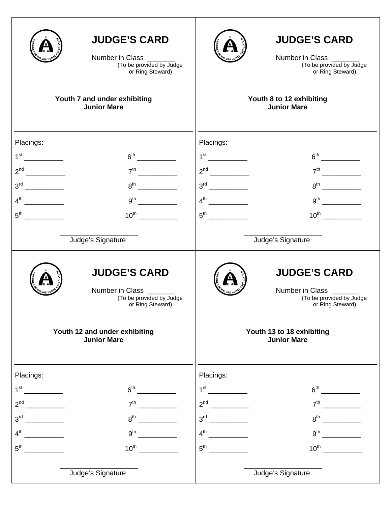|                                                                                                                   | <b>JUDGE'S CARD</b><br>Number in Class<br>(To be provided by Judge<br>or Ring Steward)<br>Youth 7 and under exhibiting     |                                                                 | <b>JUDGE'S CARD</b><br>Number in Class<br>(To be provided by Judge<br>or Ring Steward)<br>Youth 8 to 12 exhibiting |
|-------------------------------------------------------------------------------------------------------------------|----------------------------------------------------------------------------------------------------------------------------|-----------------------------------------------------------------|--------------------------------------------------------------------------------------------------------------------|
|                                                                                                                   | <b>Junior Mare</b>                                                                                                         |                                                                 | <b>Junior Mare</b>                                                                                                 |
| Placings:<br>1 <sup>st</sup><br>2 <sup>nd</sup><br>$\overline{\phantom{a}}$<br>$3^{\text{rd}}$<br>$5^{\text{th}}$ | 6 <sup>th</sup><br>7 <sup>th</sup><br>$\overline{\phantom{a}}$<br>$8^{\text{th}}$<br>$10^{\text{th}}$<br>Judge's Signature | Placings:<br>$1^{\rm st}$<br>$4^{\text{th}}$<br>$5^{\text{th}}$ | $9^{th}$<br>Judge's Signature                                                                                      |
|                                                                                                                   | <b>JUDGE'S CARD</b><br>Number in Class _______<br>(To be provided by Judge<br>or Ring Steward)                             |                                                                 | <b>JUDGE'S CARD</b><br>Number in Class _______<br>(To be provided by Judge<br>or Ring Steward)                     |
|                                                                                                                   | Youth 12 and under exhibiting<br><b>Junior Mare</b>                                                                        |                                                                 | Youth 13 to 18 exhibiting<br><b>Junior Mare</b>                                                                    |
| Placings:                                                                                                         |                                                                                                                            | Placings:                                                       |                                                                                                                    |
| 1 <sup>st</sup>                                                                                                   | 6 <sup>th</sup>                                                                                                            |                                                                 |                                                                                                                    |
| $\overline{\phantom{a}}$<br>2 <sup>nd</sup>                                                                       | 7 <sup>th</sup>                                                                                                            | $2^{nd}$                                                        | $7^{\text{th}}$                                                                                                    |
| 3 <sup>rd</sup>                                                                                                   | $8^{\text{th}}$                                                                                                            |                                                                 | $8^{\text{th}}$                                                                                                    |
| 4 <sup>th</sup>                                                                                                   | 9 <sup>th</sup>                                                                                                            | $4^{\text{th}}$                                                 | $9^{\text{th}}$                                                                                                    |
| $5^{\text{th}}$                                                                                                   | 10 <sup>th</sup>                                                                                                           | $5^{\text{th}}$                                                 | $10^{\text{th}}$                                                                                                   |
|                                                                                                                   | Judge's Signature                                                                                                          |                                                                 | Judge's Signature                                                                                                  |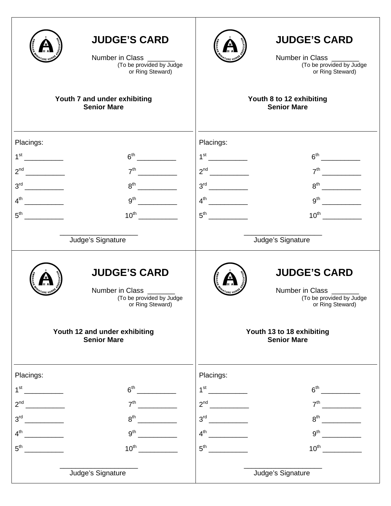|                                                                                                                                                                                                                                                                                                                                                                                                                                                                          | <b>JUDGE'S CARD</b><br>Number in Class ______<br>(To be provided by Judge<br>or Ring Steward)                                                         |                              | <b>JUDGE'S CARD</b><br>Number in Class _______<br>(To be provided by Judge<br>or Ring Steward)                                                    |
|--------------------------------------------------------------------------------------------------------------------------------------------------------------------------------------------------------------------------------------------------------------------------------------------------------------------------------------------------------------------------------------------------------------------------------------------------------------------------|-------------------------------------------------------------------------------------------------------------------------------------------------------|------------------------------|---------------------------------------------------------------------------------------------------------------------------------------------------|
|                                                                                                                                                                                                                                                                                                                                                                                                                                                                          | Youth 7 and under exhibiting<br><b>Senior Mare</b>                                                                                                    |                              | Youth 8 to 12 exhibiting<br><b>Senior Mare</b>                                                                                                    |
| Placings:<br>$1^{\rm st}$<br>2 <sup>nd</sup><br>$5^{\text{th}}$                                                                                                                                                                                                                                                                                                                                                                                                          | 6 <sup>th</sup><br>7 <sup>th</sup><br>$8^{\text{th}}$<br>$10^{\text{th}}$<br>Judge's Signature                                                        | Placings:<br>$5^{\text{th}}$ | $7th$ 2008<br>$10^{\text{th}}$<br>Judge's Signature                                                                                               |
|                                                                                                                                                                                                                                                                                                                                                                                                                                                                          | <b>JUDGE'S CARD</b><br>Number in Class _______<br>(To be provided by Judge<br>or Ring Steward)<br>Youth 12 and under exhibiting<br><b>Senior Mare</b> |                              | <b>JUDGE'S CARD</b><br>Number in Class _______<br>(To be provided by Judge<br>or Ring Steward)<br>Youth 13 to 18 exhibiting<br><b>Senior Mare</b> |
| Placings:                                                                                                                                                                                                                                                                                                                                                                                                                                                                |                                                                                                                                                       | Placings:                    |                                                                                                                                                   |
| $1^{\rm st}$<br><u>and the state of the state of the state of the state of the state of the state of the state of the state of the state of the state of the state of the state of the state of the state of the state of the state of the state</u>                                                                                                                                                                                                                     | 6 <sup>th</sup>                                                                                                                                       | $1^{\rm st}$                 |                                                                                                                                                   |
| 2 <sup>nd</sup><br>$\overline{\phantom{a}}$                                                                                                                                                                                                                                                                                                                                                                                                                              | 7 <sup>th</sup>                                                                                                                                       |                              | 7 <sup>th</sup>                                                                                                                                   |
| 3 <sup>rd</sup><br>$\begin{tabular}{ccccc} \multicolumn{2}{c }{\textbf{1} & \multicolumn{2}{c }{\textbf{2} & \multicolumn{2}{c }{\textbf{3} & \multicolumn{2}{c }{\textbf{4} & \multicolumn{2}{c }{\textbf{5} & \multicolumn{2}{c }{\textbf{6} & \multicolumn{2}{c }{\textbf{6} & \multicolumn{2}{c }{\textbf{6} & \multicolumn{2}{c }{\textbf{6} & \multicolumn{2}{c }{\textbf{6} & \multicolumn{2}{c }{\textbf{6} & \multicolumn{2}{c }{\textbf{6} & \multicolumn{2}{$ | $8^{\text{th}}$                                                                                                                                       | $3^{\text{rd}}$              | $8^{\text{th}}$                                                                                                                                   |
| $4^{\text{th}}$                                                                                                                                                                                                                                                                                                                                                                                                                                                          | 9 <sup>th</sup>                                                                                                                                       |                              | $9^{\text{th}}$                                                                                                                                   |
| $5^{\text{th}}$                                                                                                                                                                                                                                                                                                                                                                                                                                                          | $10^{\text{th}}$                                                                                                                                      | $5^{\text{th}}$              | $10^{\text{th}}$                                                                                                                                  |
|                                                                                                                                                                                                                                                                                                                                                                                                                                                                          | Judge's Signature                                                                                                                                     |                              | Judge's Signature                                                                                                                                 |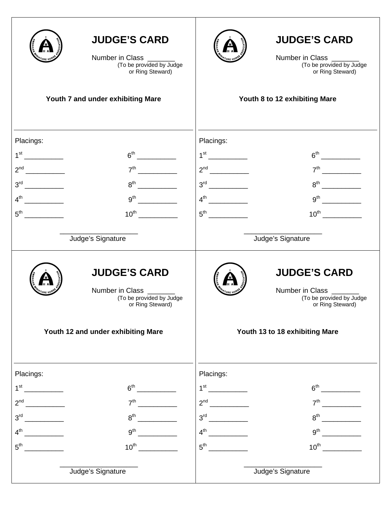|                 | <b>JUDGE'S CARD</b><br>Number in Class ______<br>(To be provided by Judge<br>or Ring Steward)<br>Youth 7 and under exhibiting Mare | <b>JUDGE'S CARD</b><br>Number in Class _______<br>(To be provided by Judge<br>or Ring Steward)<br>Youth 8 to 12 exhibiting Mare |
|-----------------|------------------------------------------------------------------------------------------------------------------------------------|---------------------------------------------------------------------------------------------------------------------------------|
|                 |                                                                                                                                    |                                                                                                                                 |
|                 |                                                                                                                                    |                                                                                                                                 |
| Placings:       |                                                                                                                                    | Placings:                                                                                                                       |
|                 |                                                                                                                                    |                                                                                                                                 |
|                 | $8^{\text{th}}$                                                                                                                    |                                                                                                                                 |
|                 | $9^{th}$                                                                                                                           |                                                                                                                                 |
| $5^{\text{th}}$ |                                                                                                                                    |                                                                                                                                 |
|                 |                                                                                                                                    |                                                                                                                                 |
|                 | Judge's Signature                                                                                                                  | Judge's Signature                                                                                                               |
|                 | <b>JUDGE'S CARD</b><br>Number in Class _______<br>(To be provided by Judge<br>or Ring Steward)                                     | <b>JUDGE'S CARD</b><br>Number in Class ______<br>(To be provided by Judge<br>or Ring Steward)                                   |
|                 | Youth 12 and under exhibiting Mare                                                                                                 | Youth 13 to 18 exhibiting Mare                                                                                                  |
| Placings:       |                                                                                                                                    | Placings:                                                                                                                       |
|                 | 6 <sup>th</sup>                                                                                                                    | 1 <sup>st</sup>                                                                                                                 |
| 2 <sup>nd</sup> | 7 <sup>th</sup>                                                                                                                    | 7 <sup>th</sup>                                                                                                                 |
|                 | $8^{\text{th}}$                                                                                                                    |                                                                                                                                 |
|                 | $9^{th}$                                                                                                                           |                                                                                                                                 |
| $5^{\text{th}}$ |                                                                                                                                    |                                                                                                                                 |
|                 | Judge's Signature                                                                                                                  | Judge's Signature                                                                                                               |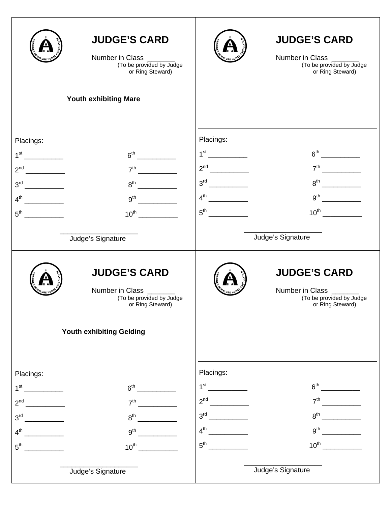|                                             | <b>JUDGE'S CARD</b><br>Number in Class _______<br>(To be provided by Judge<br>or Ring Steward) |                 | <b>JUDGE'S CARD</b><br>Number in Class _______<br>(To be provided by Judge<br>or Ring Steward) |
|---------------------------------------------|------------------------------------------------------------------------------------------------|-----------------|------------------------------------------------------------------------------------------------|
|                                             | <b>Youth exhibiting Mare</b>                                                                   |                 |                                                                                                |
|                                             |                                                                                                | Placings:       |                                                                                                |
| Placings:                                   | 6 <sup>th</sup>                                                                                |                 |                                                                                                |
| 2 <sup>nd</sup><br>$\overline{\phantom{a}}$ | $7^{\text{th}}$                                                                                |                 |                                                                                                |
|                                             | $8^{\text{th}}$<br><u>.</u>                                                                    |                 |                                                                                                |
| $4^{\text{th}}$                             |                                                                                                | $4^{th}$        | $9^{th}$                                                                                       |
| $5^{\text{th}}$                             | $10^{\text{th}}$                                                                               | $5^{\text{th}}$ |                                                                                                |
|                                             |                                                                                                |                 |                                                                                                |
|                                             | Judge's Signature                                                                              |                 | Judge's Signature                                                                              |
|                                             | <b>JUDGE'S CARD</b><br>Number in Class _______<br>(To be provided by Judge<br>or Ring Steward) |                 | <b>JUDGE'S CARD</b><br>Number in Class _______<br>(To be provided by Judge<br>or Ring Steward) |
|                                             | Youth exhibiting Gelding                                                                       |                 |                                                                                                |
| Placings:                                   |                                                                                                | Placings:       |                                                                                                |
| $1^{\rm st}$                                | 6 <sup>th</sup>                                                                                | $1^{\text{st}}$ | 6 <sup>th</sup>                                                                                |
| 2 <sup>nd</sup>                             | 7 <sup>th</sup>                                                                                |                 | 7 <sup>th</sup>                                                                                |
| 3 <sup>rd</sup><br>$\sim$                   | $8^{\text{th}}$                                                                                | $3^{\text{rd}}$ | $8^{\text{th}}$                                                                                |
| $4^{\text{th}}$                             | 9 <sup>th</sup>                                                                                | $4^{\text{th}}$ | 9 <sup>th</sup>                                                                                |
| 5 <sup>th</sup>                             | $10^{\text{th}}$                                                                               |                 | $10^{\text{th}}$                                                                               |
|                                             | Judge's Signature                                                                              |                 | Judge's Signature                                                                              |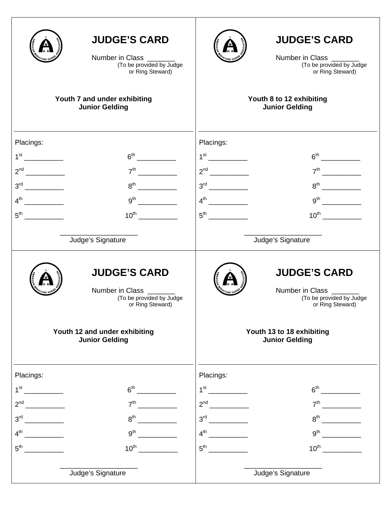|                                             | <b>JUDGE'S CARD</b><br>Number in Class<br>(To be provided by Judge<br>or Ring Steward)                                                                                                                                                                            |                 | <b>JUDGE'S CARD</b><br>Number in Class ______<br>(To be provided by Judge<br>or Ring Steward) |
|---------------------------------------------|-------------------------------------------------------------------------------------------------------------------------------------------------------------------------------------------------------------------------------------------------------------------|-----------------|-----------------------------------------------------------------------------------------------|
|                                             | Youth 7 and under exhibiting<br><b>Junior Gelding</b>                                                                                                                                                                                                             |                 | Youth 8 to 12 exhibiting<br><b>Junior Gelding</b>                                             |
| Placings:<br>1 <sup>st</sup>                | $6th$ 2007 $\sim$ 2007 $\sim$ 2007 $\sim$ 3007 $\sim$ 3007 $\sim$ 3007 $\sim$ 3007 $\sim$ 3007 $\sim$ 3007 $\sim$ 3007 $\sim$ 3007 $\sim$ 3007 $\sim$ 3007 $\sim$ 3007 $\sim$ 3007 $\sim$ 3007 $\sim$ 3007 $\sim$ 3007 $\sim$ 3007 $\sim$ 3007 $\sim$ 3007 $\sim$ | Placings:       |                                                                                               |
|                                             | $7^{\text{th}}$                                                                                                                                                                                                                                                   |                 |                                                                                               |
|                                             | $8^{\text{th}}$                                                                                                                                                                                                                                                   |                 |                                                                                               |
|                                             | 9 <sup>th</sup>                                                                                                                                                                                                                                                   |                 |                                                                                               |
| $5^{\text{th}}$                             | $10^{\text{th}}$                                                                                                                                                                                                                                                  |                 | $10^{th}$                                                                                     |
|                                             | Judge's Signature                                                                                                                                                                                                                                                 |                 | Judge's Signature                                                                             |
|                                             | <b>JUDGE'S CARD</b><br>Number in Class _______<br>(To be provided by Judge<br>or Ring Steward)                                                                                                                                                                    |                 | <b>JUDGE'S CARD</b><br>Number in Class _____<br>(To be provided by Judge<br>or Ring Steward)  |
|                                             | Youth 12 and under exhibiting<br><b>Junior Gelding</b>                                                                                                                                                                                                            |                 | Youth 13 to 18 exhibiting<br><b>Junior Gelding</b>                                            |
| Placings:                                   |                                                                                                                                                                                                                                                                   | Placings:       |                                                                                               |
| $1^{\rm st}$<br>$\overline{\phantom{a}}$    | 6 <sup>th</sup>                                                                                                                                                                                                                                                   |                 |                                                                                               |
| $\overline{\phantom{a}}$<br>2 <sup>nd</sup> | 7 <sup>th</sup>                                                                                                                                                                                                                                                   | $2^{nd}$        | 7 <sup>th</sup>                                                                               |
| 3 <sup>rd</sup>                             | 8 <sup>th</sup>                                                                                                                                                                                                                                                   | 3 <sup>rd</sup> | $8^{\text{th}}$                                                                               |
| 4 <sup>th</sup>                             | $9^{\text{th}}$                                                                                                                                                                                                                                                   | $4^{\text{th}}$ | 9 <sup>th</sup>                                                                               |
| 5 <sup>th</sup>                             | $10^{\text{th}}$                                                                                                                                                                                                                                                  | $5^{\text{th}}$ | $10^{\text{th}}$                                                                              |
|                                             | Judge's Signature                                                                                                                                                                                                                                                 |                 | Judge's Signature                                                                             |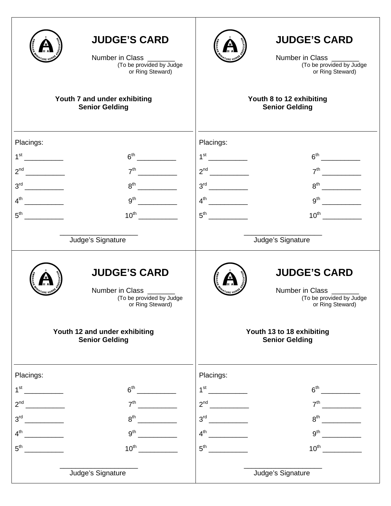|                                             | <b>JUDGE'S CARD</b><br>Number in Class<br>(To be provided by Judge<br>or Ring Steward)<br>Youth 7 and under exhibiting<br><b>Senior Gelding</b> |                                                                                | <b>JUDGE'S CARD</b><br>Number in Class ______<br>(To be provided by Judge<br>or Ring Steward)<br>Youth 8 to 12 exhibiting<br><b>Senior Gelding</b> |
|---------------------------------------------|-------------------------------------------------------------------------------------------------------------------------------------------------|--------------------------------------------------------------------------------|----------------------------------------------------------------------------------------------------------------------------------------------------|
|                                             |                                                                                                                                                 |                                                                                |                                                                                                                                                    |
| Placings:                                   |                                                                                                                                                 | Placings:                                                                      |                                                                                                                                                    |
| 1 <sup>st</sup>                             | 6 <sup>th</sup>                                                                                                                                 |                                                                                |                                                                                                                                                    |
| 2 <sup>nd</sup><br>$\overline{\phantom{a}}$ | 7 <sup>th</sup>                                                                                                                                 |                                                                                |                                                                                                                                                    |
|                                             | $\overline{\phantom{a}}$<br>$8^{\text{th}}$                                                                                                     |                                                                                |                                                                                                                                                    |
|                                             |                                                                                                                                                 | $4^{\text{th}}$                                                                |                                                                                                                                                    |
| $5^{\text{th}}$                             | $10^{\text{th}}$                                                                                                                                | $5^{\text{th}}$                                                                |                                                                                                                                                    |
|                                             |                                                                                                                                                 |                                                                                |                                                                                                                                                    |
|                                             | Judge's Signature                                                                                                                               |                                                                                | Judge's Signature                                                                                                                                  |
|                                             | <b>JUDGE'S CARD</b><br>Number in Class _______<br>(To be provided by Judge<br>or Ring Steward)                                                  |                                                                                | <b>JUDGE'S CARD</b><br>Number in Class _______<br>(To be provided by Judge<br>or Ring Steward)                                                     |
|                                             | Youth 12 and under exhibiting<br><b>Senior Gelding</b>                                                                                          |                                                                                | Youth 13 to 18 exhibiting<br><b>Senior Gelding</b>                                                                                                 |
| Placings:                                   |                                                                                                                                                 | Placings:                                                                      |                                                                                                                                                    |
| 1 <sup>st</sup>                             | 6 <sup>th</sup>                                                                                                                                 | $1^{\text{st}}$ and $\frac{1}{\sqrt{1-\frac{1}{2}}\left(1-\frac{1}{2}\right)}$ | 6 <sup>th</sup>                                                                                                                                    |
| 2 <sup>nd</sup>                             | 7 <sup>th</sup>                                                                                                                                 |                                                                                | 7 <sup>th</sup>                                                                                                                                    |
| 3 <sup>rd</sup>                             | $8^{\text{th}}$                                                                                                                                 | $3^{\text{rd}}$                                                                | $8^{\text{th}}$                                                                                                                                    |
| 4 <sup>th</sup>                             | 9 <sup>th</sup>                                                                                                                                 | $4^{\text{th}}$                                                                | 9 <sup>th</sup>                                                                                                                                    |
| 5 <sup>th</sup>                             | $10^{\text{th}}$                                                                                                                                | $5^{\text{th}}$                                                                | $10^{\text{th}}$                                                                                                                                   |
|                                             | Judge's Signature                                                                                                                               |                                                                                | Judge's Signature                                                                                                                                  |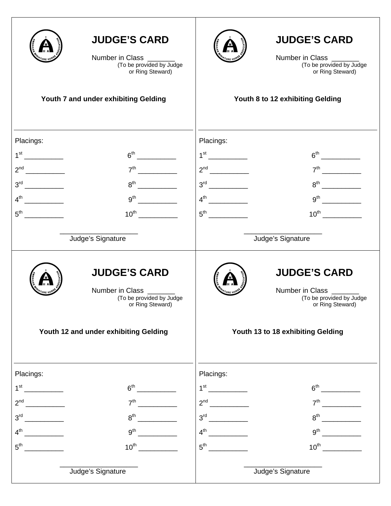|                                            | <b>JUDGE'S CARD</b><br>Number in Class _______<br>(To be provided by Judge<br>or Ring Steward) |                 | <b>JUDGE'S CARD</b><br>Number in Class _______<br>(To be provided by Judge<br>or Ring Steward) |
|--------------------------------------------|------------------------------------------------------------------------------------------------|-----------------|------------------------------------------------------------------------------------------------|
|                                            | Youth 7 and under exhibiting Gelding                                                           |                 | Youth 8 to 12 exhibiting Gelding                                                               |
|                                            |                                                                                                |                 |                                                                                                |
| Placings:                                  |                                                                                                | Placings:       |                                                                                                |
|                                            |                                                                                                |                 |                                                                                                |
|                                            | $8^{th}$                                                                                       |                 |                                                                                                |
|                                            |                                                                                                |                 |                                                                                                |
|                                            |                                                                                                |                 |                                                                                                |
|                                            |                                                                                                |                 |                                                                                                |
|                                            | Judge's Signature                                                                              |                 | Judge's Signature                                                                              |
|                                            | <b>JUDGE'S CARD</b><br>Number in Class<br>(To be provided by Judge<br>or Ring Steward)         |                 | <b>JUDGE'S CARD</b><br>Number in Class _____<br>(To be provided by Judge<br>or Ring Steward)   |
|                                            | Youth 12 and under exhibiting Gelding                                                          |                 | Youth 13 to 18 exhibiting Gelding                                                              |
| Placings:                                  |                                                                                                | Placings:       |                                                                                                |
|                                            | 6 <sup>th</sup>                                                                                |                 |                                                                                                |
|                                            | 7 <sup>th</sup>                                                                                |                 |                                                                                                |
| 3 <sup>rd</sup>                            | $8^{\text{th}}$                                                                                |                 | $8^{\text{th}}$                                                                                |
| $4^{\text{th}}$<br><u> 1999 - Jan Jawa</u> | 9 <sup>th</sup>                                                                                |                 |                                                                                                |
| $5^{\text{th}}$                            | $10^{\text{th}}$                                                                               | $5^{\text{th}}$ | $10^{\text{th}}$                                                                               |
|                                            | Judge's Signature                                                                              |                 | Judge's Signature                                                                              |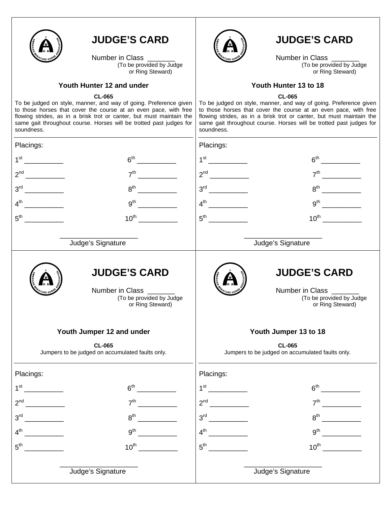

Number in Class<br>(To be provided by Judge or Ring Steward)

### **Youth Hunter 12 and under**

#### **CL-065**

To be judged on style, manner, and way of going. Preference given to those horses that cover the course at an even pace, with free flowing strides, as in a brisk trot or canter, but must maintain the same gait throughout course. Horses will be trotted past judges for soundness.



## **JUDGE'S CARD**

Number in Class<br>(To be provided by Judge or Ring Steward)

#### **Youth Hunter 13 to 18**

#### **CL-065**

To be judged on style, manner, and way of going. Preference given to those horses that cover the course at an even pace, with free flowing strides, as in a brisk trot or canter, but must maintain the same gait throughout course. Horses will be trotted past judges for soundness.

| Placings:                                                                                      | Placings:                                                                                      |
|------------------------------------------------------------------------------------------------|------------------------------------------------------------------------------------------------|
| 1 <sup>st</sup>                                                                                |                                                                                                |
| 2 <sup>nd</sup><br>7 <sup>th</sup><br>$\overline{\phantom{a}}$                                 |                                                                                                |
| 3 <sup>rd</sup><br>$8^{\text{th}}$                                                             | $8^{\sf th}$                                                                                   |
| 9 <sup>th</sup><br>$4^{\text{th}}$                                                             | 9 <sup>th</sup>                                                                                |
|                                                                                                |                                                                                                |
| Judge's Signature                                                                              | Judge's Signature                                                                              |
| <b>JUDGE'S CARD</b><br>Number in Class _______<br>(To be provided by Judge<br>or Ring Steward) | <b>JUDGE'S CARD</b><br>Number in Class _______<br>(To be provided by Judge<br>or Ring Steward) |
| Youth Jumper 12 and under<br><b>CL-065</b><br>Jumpers to be judged on accumulated faults only. | Youth Jumper 13 to 18<br><b>CL-065</b><br>Jumpers to be judged on accumulated faults only.     |
| Placings:                                                                                      | Placings:                                                                                      |
| 1 <sup>st</sup><br>6 <sup>th</sup><br><u> 1999 - Jan Jawa</u>                                  |                                                                                                |
| $2^{nd}$<br>7 <sup>th</sup>                                                                    |                                                                                                |
| 8 <sup>th</sup><br>3 <sup>rd</sup>                                                             | 3 <sup>rd</sup><br>8 <sup>th</sup>                                                             |
| 4 <sup>th</sup><br>9 <sup>th</sup>                                                             | 4 <sup>th</sup><br>9 <sup>th</sup>                                                             |
| $10^{\text{th}}$<br>$5^{\text{th}}$                                                            | $10^{\text{th}}$<br>$5^{\text{th}}$                                                            |
| Judge's Signature                                                                              | Judge's Signature                                                                              |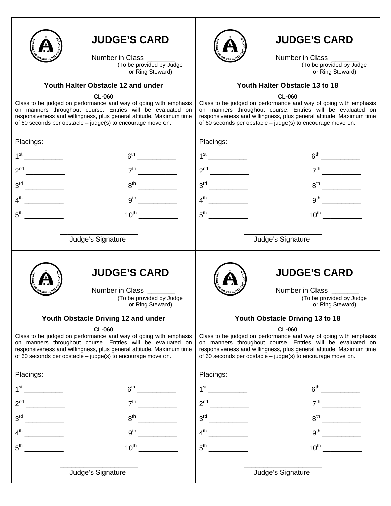

Number in Class<br>(To be provided by Judge or Ring Steward)

## **Youth Halter Obstacle 12 and under**

#### **CL-060**

Class to be judged on performance and way of going with emphasis on manners throughout course. Entries will be evaluated on responsiveness and willingness, plus general attitude. Maximum time of 60 seconds per obstacle – judge(s) to encourage move on.



# **JUDGE'S CARD**

Number in Class<br>(To be provided by Judge or Ring Steward)

### **Youth Halter Obstacle 13 to 18**

**CL-060** 

Class to be judged on performance and way of going with emphasis on manners throughout course. Entries will be evaluated on responsiveness and willingness, plus general attitude. Maximum time of 60 seconds per obstacle – judge(s) to encourage move on.

| Placings:                                                                                                                                                                                                                                                                                                                    |                                                                                                | Placings:       |                                                                                                                                                                                                                                                                                                                          |
|------------------------------------------------------------------------------------------------------------------------------------------------------------------------------------------------------------------------------------------------------------------------------------------------------------------------------|------------------------------------------------------------------------------------------------|-----------------|--------------------------------------------------------------------------------------------------------------------------------------------------------------------------------------------------------------------------------------------------------------------------------------------------------------------------|
| 1 <sup>st</sup>                                                                                                                                                                                                                                                                                                              | $6th$ 2007                                                                                     |                 | $6^{th}$                                                                                                                                                                                                                                                                                                                 |
| 2 <sup>nd</sup><br>$\overline{\phantom{a}}$                                                                                                                                                                                                                                                                                  | 7 <sup>th</sup>                                                                                |                 |                                                                                                                                                                                                                                                                                                                          |
|                                                                                                                                                                                                                                                                                                                              | 8 <sup>th</sup>                                                                                | $3^{\text{rd}}$ | $8th$ and $\overline{\phantom{a}}$                                                                                                                                                                                                                                                                                       |
| $4^{\text{th}}$                                                                                                                                                                                                                                                                                                              | 9 <sup>th</sup>                                                                                |                 |                                                                                                                                                                                                                                                                                                                          |
| $5^{\text{th}}$                                                                                                                                                                                                                                                                                                              | $10^{\text{th}}$                                                                               | $5^{\text{th}}$ |                                                                                                                                                                                                                                                                                                                          |
|                                                                                                                                                                                                                                                                                                                              | Judge's Signature                                                                              |                 | Judge's Signature                                                                                                                                                                                                                                                                                                        |
|                                                                                                                                                                                                                                                                                                                              | <b>JUDGE'S CARD</b><br>Number in Class _______<br>(To be provided by Judge<br>or Ring Steward) |                 | <b>JUDGE'S CARD</b><br>Number in Class _______<br>(To be provided by Judge<br>or Ring Steward)                                                                                                                                                                                                                           |
| Youth Obstacle Driving 12 and under<br><b>CL-060</b><br>Class to be judged on performance and way of going with emphasis<br>on manners throughout course. Entries will be evaluated on<br>responsiveness and willingness, plus general attitude. Maximum time<br>of 60 seconds per obstacle - judge(s) to encourage move on. |                                                                                                |                 | Youth Obstacle Driving 13 to 18<br><b>CL-060</b><br>Class to be judged on performance and way of going with emphasis<br>on manners throughout course. Entries will be evaluated on<br>responsiveness and willingness, plus general attitude. Maximum time<br>of 60 seconds per obstacle - judge(s) to encourage move on. |
| Placings:                                                                                                                                                                                                                                                                                                                    |                                                                                                | Placings:       |                                                                                                                                                                                                                                                                                                                          |
|                                                                                                                                                                                                                                                                                                                              | 6 <sup>th</sup>                                                                                |                 | $6^{\text{th}}$                                                                                                                                                                                                                                                                                                          |
| 2 <sup>nd</sup>                                                                                                                                                                                                                                                                                                              | 7 <sup>th</sup>                                                                                | $2^{nd}$        | 7 <sup>th</sup>                                                                                                                                                                                                                                                                                                          |
| 3 <sup>rd</sup>                                                                                                                                                                                                                                                                                                              | 8 <sup>th</sup>                                                                                | 3 <sup>rd</sup> | 8 <sup>th</sup>                                                                                                                                                                                                                                                                                                          |
| 4 <sup>th</sup>                                                                                                                                                                                                                                                                                                              | 9 <sup>th</sup>                                                                                | 4 <sup>th</sup> | 9 <sup>th</sup>                                                                                                                                                                                                                                                                                                          |
| $5^{\text{th}}$                                                                                                                                                                                                                                                                                                              | $10^{th}$                                                                                      | $5^{\text{th}}$ | $10^{th}$                                                                                                                                                                                                                                                                                                                |
|                                                                                                                                                                                                                                                                                                                              | Judge's Signature                                                                              |                 | Judge's Signature                                                                                                                                                                                                                                                                                                        |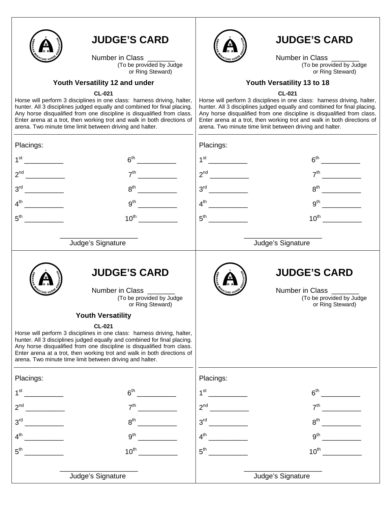

Number in Class<br>(To be provided by Judge or Ring Steward)

#### **Youth Versatility 12 and under**

#### **CL-021**

Horse will perform 3 disciplines in one class: harness driving, halter, hunter. All 3 disciplines judged equally and combined for final placing. Any horse disqualified from one discipline is disqualified from class. Enter arena at a trot, then working trot and walk in both directions of arena. Two minute time limit between driving and halter.



# **JUDGE'S CARD**

Number in Class<br>(To be provided by Judge or Ring Steward)

### **Youth Versatility 13 to 18**

**CL-021** 

Horse will perform 3 disciplines in one class: harness driving, halter, hunter. All 3 disciplines judged equally and combined for final placing. Any horse disqualified from one discipline is disqualified from class. Enter arena at a trot, then working trot and walk in both directions of arena. Two minute time limit between driving and halter.

| Placings:                                                                                                                                                                                                                                                                                                                                                                                                                                                                                                           | Placings:                                                                                                             |
|---------------------------------------------------------------------------------------------------------------------------------------------------------------------------------------------------------------------------------------------------------------------------------------------------------------------------------------------------------------------------------------------------------------------------------------------------------------------------------------------------------------------|-----------------------------------------------------------------------------------------------------------------------|
| 1 <sup>st</sup>                                                                                                                                                                                                                                                                                                                                                                                                                                                                                                     |                                                                                                                       |
| 6 <sup>th</sup>                                                                                                                                                                                                                                                                                                                                                                                                                                                                                                     | 1 <sup>st</sup>                                                                                                       |
| $\mathcal{L}^{\text{max}}_{\text{max}}$ . The set of $\mathcal{L}^{\text{max}}_{\text{max}}$                                                                                                                                                                                                                                                                                                                                                                                                                        | <u>and a strong to the strong of the strong strong strong strong strong strong strong strong strong strong strong</u> |
| 2 <sup>nd</sup>                                                                                                                                                                                                                                                                                                                                                                                                                                                                                                     |                                                                                                                       |
| 7 <sup>th</sup>                                                                                                                                                                                                                                                                                                                                                                                                                                                                                                     | 7 <sup>th</sup>                                                                                                       |
|                                                                                                                                                                                                                                                                                                                                                                                                                                                                                                                     | <u>and a strong to the strong of the strong strong strong strong strong strong strong strong strong strong strong</u> |
| 3 <sup>rd</sup><br>8 <sup>th</sup>                                                                                                                                                                                                                                                                                                                                                                                                                                                                                  | 8 <sup>th</sup>                                                                                                       |
| $4^{\text{th}}$                                                                                                                                                                                                                                                                                                                                                                                                                                                                                                     | $4^{\text{th}}$                                                                                                       |
| 9 <sup>th</sup>                                                                                                                                                                                                                                                                                                                                                                                                                                                                                                     | 9 <sup>th</sup>                                                                                                       |
|                                                                                                                                                                                                                                                                                                                                                                                                                                                                                                                     | <u> 1989 - Jan Jawa</u>                                                                                               |
|                                                                                                                                                                                                                                                                                                                                                                                                                                                                                                                     |                                                                                                                       |
| 5 <sup>th</sup><br>$10^{\text{th}}$                                                                                                                                                                                                                                                                                                                                                                                                                                                                                 | $10^{\text{th}}$                                                                                                      |
| Judge's Signature                                                                                                                                                                                                                                                                                                                                                                                                                                                                                                   | Judge's Signature                                                                                                     |
| <b>JUDGE'S CARD</b><br>Number in Class _______<br>(To be provided by Judge<br>or Ring Steward)<br><b>Youth Versatility</b><br><b>CL-021</b><br>Horse will perform 3 disciplines in one class: harness driving, halter,<br>hunter. All 3 disciplines judged equally and combined for final placing.<br>Any horse disqualified from one discipline is disqualified from class.<br>Enter arena at a trot, then working trot and walk in both directions of<br>arena. Two minute time limit between driving and halter. | <b>JUDGE'S CARD</b><br>Number in Class _______<br>(To be provided by Judge<br>or Ring Steward)                        |
| Placings:                                                                                                                                                                                                                                                                                                                                                                                                                                                                                                           | Placings:                                                                                                             |
| 1 <sup>st</sup>                                                                                                                                                                                                                                                                                                                                                                                                                                                                                                     | 6 <sup>th</sup>                                                                                                       |
| 6 <sup>th</sup>                                                                                                                                                                                                                                                                                                                                                                                                                                                                                                     | 1 <sup>st</sup>                                                                                                       |
| <u>and a strong to the strong of the strong strong parties</u>                                                                                                                                                                                                                                                                                                                                                                                                                                                      |                                                                                                                       |
| 2 <sup>nd</sup>                                                                                                                                                                                                                                                                                                                                                                                                                                                                                                     | $2^{nd}$                                                                                                              |
| 7 <sup>th</sup>                                                                                                                                                                                                                                                                                                                                                                                                                                                                                                     | 7 <sup>th</sup>                                                                                                       |
| $8^{\text{th}}$                                                                                                                                                                                                                                                                                                                                                                                                                                                                                                     | 3 <sup>rd</sup>                                                                                                       |
| 3 <sup>rd</sup>                                                                                                                                                                                                                                                                                                                                                                                                                                                                                                     | $8^{\text{th}}$                                                                                                       |
| $4^{\text{th}}$                                                                                                                                                                                                                                                                                                                                                                                                                                                                                                     | 9 <sup>th</sup>                                                                                                       |
| 9 <sup>th</sup>                                                                                                                                                                                                                                                                                                                                                                                                                                                                                                     | 4 <sup>th</sup>                                                                                                       |
| $10^{\text{th}}$                                                                                                                                                                                                                                                                                                                                                                                                                                                                                                    | $5^{\text{th}}$                                                                                                       |
| $5^{\text{th}}$                                                                                                                                                                                                                                                                                                                                                                                                                                                                                                     | $10^{\text{th}}$                                                                                                      |
| Judge's Signature                                                                                                                                                                                                                                                                                                                                                                                                                                                                                                   | Judge's Signature                                                                                                     |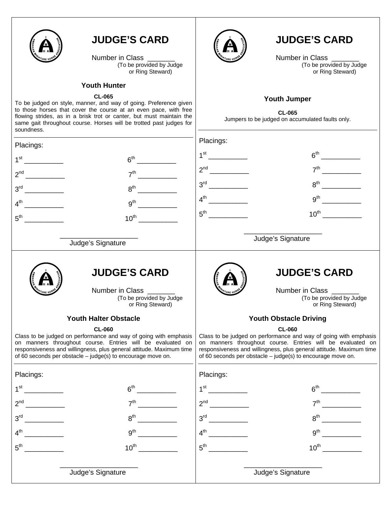

Number in Class<br>(To be provided by Judge or Ring Steward)

## **Youth Hunter**

#### **CL-065**

To be judged on style, manner, and way of going. Preference given to those horses that cover the course at an even pace, with free flowing strides, as in a brisk trot or canter, but must maintain the same gait throughout course. Horses will be trotted past judges for soundness.



## **JUDGE'S CARD**

Number in Class<br>(To be provided by Judge or Ring Steward)

### **Youth Jumper**

**CL-065**  Jumpers to be judged on accumulated faults only.

| Placings:         |                                                                                                                                                                                                                                                                                       | Placings:       |                                                                                                                                                                                                                                                                                       |
|-------------------|---------------------------------------------------------------------------------------------------------------------------------------------------------------------------------------------------------------------------------------------------------------------------------------|-----------------|---------------------------------------------------------------------------------------------------------------------------------------------------------------------------------------------------------------------------------------------------------------------------------------|
|                   | 6 <sup>th</sup>                                                                                                                                                                                                                                                                       | 1 <sup>st</sup> | $6th$ 2007                                                                                                                                                                                                                                                                            |
|                   | 7 <sup>th</sup>                                                                                                                                                                                                                                                                       |                 | 7 <sup>th</sup>                                                                                                                                                                                                                                                                       |
| 3 <sup>rd</sup>   | 8 <sup>th</sup>                                                                                                                                                                                                                                                                       | 3 <sup>rd</sup> | 8 <sup>th</sup>                                                                                                                                                                                                                                                                       |
| $4^{\sf th}$      | 9 <sup>th</sup>                                                                                                                                                                                                                                                                       | $4^{\text{th}}$ | 9 <sup>th</sup>                                                                                                                                                                                                                                                                       |
| $5^{\mathsf{th}}$ | $10^{\text{th}}$                                                                                                                                                                                                                                                                      |                 | $10^{\text{th}}$                                                                                                                                                                                                                                                                      |
|                   | Judge's Signature                                                                                                                                                                                                                                                                     |                 | Judge's Signature                                                                                                                                                                                                                                                                     |
|                   | <b>JUDGE'S CARD</b><br>Number in Class<br>(To be provided by Judge<br>or Ring Steward)                                                                                                                                                                                                |                 | <b>JUDGE'S CARD</b><br>Number in Class ______<br>(To be provided by Judge<br>or Ring Steward)                                                                                                                                                                                         |
|                   | <b>Youth Halter Obstacle</b>                                                                                                                                                                                                                                                          |                 | <b>Youth Obstacle Driving</b>                                                                                                                                                                                                                                                         |
|                   | <b>CL-060</b><br>Class to be judged on performance and way of going with emphasis<br>on manners throughout course. Entries will be evaluated on<br>responsiveness and willingness, plus general attitude. Maximum time<br>of 60 seconds per obstacle - judge(s) to encourage move on. |                 | <b>CL-060</b><br>Class to be judged on performance and way of going with emphasis<br>on manners throughout course. Entries will be evaluated on<br>responsiveness and willingness, plus general attitude. Maximum time<br>of 60 seconds per obstacle - judge(s) to encourage move on. |
| Placings:         |                                                                                                                                                                                                                                                                                       | Placings:       |                                                                                                                                                                                                                                                                                       |
| 1 $^{\rm st}$     | 6 <sup>th</sup>                                                                                                                                                                                                                                                                       | 1 <sup>st</sup> |                                                                                                                                                                                                                                                                                       |
| 2 <sup>nd</sup>   | 7 <sup>th</sup>                                                                                                                                                                                                                                                                       |                 | 7 <sup>th</sup>                                                                                                                                                                                                                                                                       |
| 3 <sup>rd</sup>   | $8^{\text{th}}$                                                                                                                                                                                                                                                                       | 3 <sup>rd</sup> | $8^{\text{th}}$                                                                                                                                                                                                                                                                       |
| 4 <sup>th</sup>   | 9 <sup>th</sup>                                                                                                                                                                                                                                                                       | $4^{\text{th}}$ | 9 <sup>th</sup>                                                                                                                                                                                                                                                                       |
| 5 <sup>th</sup>   | $10^{\text{th}}$                                                                                                                                                                                                                                                                      | $5^{\text{th}}$ | $10^{\text{th}}$                                                                                                                                                                                                                                                                      |
|                   | Judge's Signature                                                                                                                                                                                                                                                                     |                 | Judge's Signature                                                                                                                                                                                                                                                                     |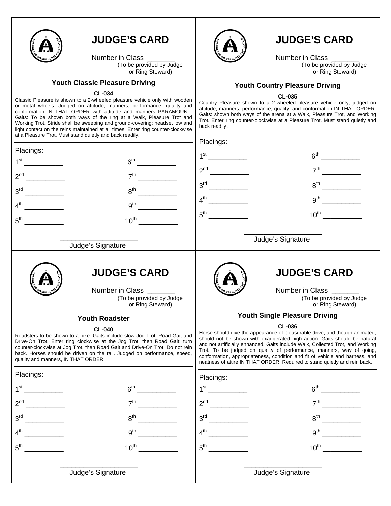

Number in Class<br>(To be provided by Judge or Ring Steward)

#### **Youth Classic Pleasure Driving**

#### **CL-034**

Classic Pleasure is shown to a 2-wheeled pleasure vehicle only with wooden or metal wheels. Judged on attitude, manners, performance, quality and conformation IN THAT ORDER with attitude and manners PARAMOUNT. Gaits: To be shown both ways of the ring at a Walk, Pleasure Trot and Working Trot. Stride shall be sweeping and ground-covering; headset low and light contact on the reins maintained at all times. Enter ring counter-clockwise at a Pleasure Trot. Must stand quietly and back readily.



## **JUDGE'S CARD**

Number in Class<br>(To be provided by Judge or Ring Steward)

## **Youth Country Pleasure Driving**

#### **CL-035**

Country Pleasure shown to a 2-wheeled pleasure vehicle only; judged on attitude, manners, performance, quality, and conformation IN THAT ORDER. Gaits: shown both ways of the arena at a Walk, Pleasure Trot, and Working Trot. Enter ring counter-clockwise at a Pleasure Trot. Must stand quietly and back readily.

|                                                                                                                                                                                                                                                                                                                                                                              | at a Pleasure Trot. Must stand quietly and back readily. | Placings:                                                                                                                                                                                                                                                                                                                                                                                                                                                                                         |                                              |
|------------------------------------------------------------------------------------------------------------------------------------------------------------------------------------------------------------------------------------------------------------------------------------------------------------------------------------------------------------------------------|----------------------------------------------------------|---------------------------------------------------------------------------------------------------------------------------------------------------------------------------------------------------------------------------------------------------------------------------------------------------------------------------------------------------------------------------------------------------------------------------------------------------------------------------------------------------|----------------------------------------------|
| Placings:                                                                                                                                                                                                                                                                                                                                                                    |                                                          | 6 <sup>th</sup>                                                                                                                                                                                                                                                                                                                                                                                                                                                                                   |                                              |
| 1 <sup>st</sup><br><u>and the state of the state of the state of the state of the state of the state of the state of the state of the state of the state of the state of the state of the state of the state of the state of the state of the state</u>                                                                                                                      | 6 <sup>th</sup>                                          | 1 <sup>st</sup>                                                                                                                                                                                                                                                                                                                                                                                                                                                                                   |                                              |
| 2 <sup>nd</sup>                                                                                                                                                                                                                                                                                                                                                              | 7 <sup>th</sup>                                          | 2 <sup>nd</sup><br><u> a serie de la provincia de la provincia de la provincia de la provincia de la provincia de la provincia de la</u><br>7 <sup>th</sup>                                                                                                                                                                                                                                                                                                                                       |                                              |
| 3 <sup>rd</sup>                                                                                                                                                                                                                                                                                                                                                              | 8 <sup>th</sup>                                          | 8 <sup>th</sup>                                                                                                                                                                                                                                                                                                                                                                                                                                                                                   |                                              |
| $4^{\text{th}}$                                                                                                                                                                                                                                                                                                                                                              | 9 <sup>th</sup>                                          | $4^{\text{th}}$<br>9 <sup>th</sup><br><u> 1990 - Jan Barnett, p</u>                                                                                                                                                                                                                                                                                                                                                                                                                               |                                              |
|                                                                                                                                                                                                                                                                                                                                                                              |                                                          | $5^{\text{th}}$<br>$10^{\text{th}}$                                                                                                                                                                                                                                                                                                                                                                                                                                                               |                                              |
| $5^{\text{th}}$                                                                                                                                                                                                                                                                                                                                                              | $10^{\text{th}}$                                         |                                                                                                                                                                                                                                                                                                                                                                                                                                                                                                   |                                              |
|                                                                                                                                                                                                                                                                                                                                                                              | Judge's Signature                                        | Judge's Signature                                                                                                                                                                                                                                                                                                                                                                                                                                                                                 |                                              |
|                                                                                                                                                                                                                                                                                                                                                                              |                                                          |                                                                                                                                                                                                                                                                                                                                                                                                                                                                                                   |                                              |
|                                                                                                                                                                                                                                                                                                                                                                              | <b>JUDGE'S CARD</b>                                      | <b>JUDGE'S CARD</b>                                                                                                                                                                                                                                                                                                                                                                                                                                                                               |                                              |
|                                                                                                                                                                                                                                                                                                                                                                              | Number in Class _____                                    | Number in Class _____                                                                                                                                                                                                                                                                                                                                                                                                                                                                             |                                              |
|                                                                                                                                                                                                                                                                                                                                                                              | (To be provided by Judge<br>or Ring Steward)             |                                                                                                                                                                                                                                                                                                                                                                                                                                                                                                   | (To be provided by Judge<br>or Ring Steward) |
| <b>Youth Roadster</b>                                                                                                                                                                                                                                                                                                                                                        |                                                          | <b>Youth Single Pleasure Driving</b>                                                                                                                                                                                                                                                                                                                                                                                                                                                              |                                              |
| <b>CL-040</b><br>Roadsters to be shown to a bike. Gaits include slow Jog Trot, Road Gait and<br>Drive-On Trot. Enter ring clockwise at the Jog Trot, then Road Gait: turn<br>counter-clockwise at Jog Trot, then Road Gait and Drive-On Trot. Do not rein<br>back. Horses should be driven on the rail. Judged on performance, speed,<br>quality and manners, IN THAT ORDER. |                                                          | <b>CL-036</b><br>Horse should give the appearance of pleasurable drive, and though animated,<br>should not be shown with exaggerated high action. Gaits should be natural<br>and not artificially enhanced. Gaits include Walk, Collected Trot, and Working<br>Trot. To be judged on quality of performance, manners, way of going,<br>conformation, appropriateness, condition and fit of vehicle and harness, and<br>neatness of attire IN THAT ORDER. Required to stand quietly and rein back. |                                              |
| Placings:                                                                                                                                                                                                                                                                                                                                                                    |                                                          | Placings:                                                                                                                                                                                                                                                                                                                                                                                                                                                                                         |                                              |
| 1 <sup>st</sup>                                                                                                                                                                                                                                                                                                                                                              | 6 <sup>th</sup>                                          | 1 <sup>st</sup>                                                                                                                                                                                                                                                                                                                                                                                                                                                                                   | 6 <sup>th</sup>                              |
| $2^{nd}$                                                                                                                                                                                                                                                                                                                                                                     | 7 <sup>th</sup>                                          | 2 <sup>nd</sup><br>7 <sup>th</sup>                                                                                                                                                                                                                                                                                                                                                                                                                                                                |                                              |
| 3 <sup>rd</sup>                                                                                                                                                                                                                                                                                                                                                              | $R^{th}$                                                 | 8 <sup>th</sup><br>3 <sup>rd</sup>                                                                                                                                                                                                                                                                                                                                                                                                                                                                |                                              |
| 4 <sup>th</sup>                                                                                                                                                                                                                                                                                                                                                              | 9 <sup>th</sup>                                          | 4 <sup>th</sup><br>9 <sup>th</sup>                                                                                                                                                                                                                                                                                                                                                                                                                                                                |                                              |
| $5^{\text{th}}$                                                                                                                                                                                                                                                                                                                                                              | $10^{\text{th}}$                                         | 5 <sup>th</sup><br>$10^{\text{th}}$                                                                                                                                                                                                                                                                                                                                                                                                                                                               |                                              |
|                                                                                                                                                                                                                                                                                                                                                                              |                                                          |                                                                                                                                                                                                                                                                                                                                                                                                                                                                                                   |                                              |
|                                                                                                                                                                                                                                                                                                                                                                              | Judge's Signature                                        | Judge's Signature                                                                                                                                                                                                                                                                                                                                                                                                                                                                                 |                                              |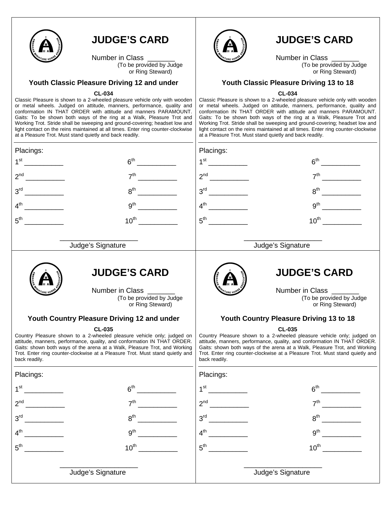

Number in Class<br>(To be provided by Judge or Ring Steward)

#### **Youth Classic Pleasure Driving 12 and under**

#### **CL-034**

Classic Pleasure is shown to a 2-wheeled pleasure vehicle only with wooden or metal wheels. Judged on attitude, manners, performance, quality and conformation IN THAT ORDER with attitude and manners PARAMOUNT. Gaits: To be shown both ways of the ring at a Walk, Pleasure Trot and Working Trot. Stride shall be sweeping and ground-covering; headset low and light contact on the reins maintained at all times. Enter ring counter-clockwise at a Pleasure Trot. Must stand quietly and back readily.



## **JUDGE'S CARD**

Number in Class \_\_\_\_\_\_\_\_\_<br>To be provided by Judge or Ring Steward)

### **Youth Classic Pleasure Driving 13 to 18**

#### **CL-034**

Classic Pleasure is shown to a 2-wheeled pleasure vehicle only with wooden or metal wheels. Judged on attitude, manners, performance, quality and conformation IN THAT ORDER with attitude and manners PARAMOUNT. Gaits: To be shown both ways of the ring at a Walk, Pleasure Trot and Working Trot. Stride shall be sweeping and ground-covering; headset low and light contact on the reins maintained at all times. Enter ring counter-clockwise at a Pleasure Trot. Must stand quietly and back readily.

| Placings:                                   |                                                                                                                                                                                                                                                                                                                                   | Placings:                               |                                                                                                                                                                                                                                                                                                                                   |
|---------------------------------------------|-----------------------------------------------------------------------------------------------------------------------------------------------------------------------------------------------------------------------------------------------------------------------------------------------------------------------------------|-----------------------------------------|-----------------------------------------------------------------------------------------------------------------------------------------------------------------------------------------------------------------------------------------------------------------------------------------------------------------------------------|
| 1 <sup>st</sup>                             | 6 <sup>th</sup>                                                                                                                                                                                                                                                                                                                   | 1 <sup>st</sup>                         | 6 <sup>th</sup>                                                                                                                                                                                                                                                                                                                   |
| 2 <sup>nd</sup>                             | 7 <sup>th</sup>                                                                                                                                                                                                                                                                                                                   | 2 <sup>nd</sup><br><u>and the state</u> | 7 <sup>th</sup>                                                                                                                                                                                                                                                                                                                   |
| 3 <sup>rd</sup>                             | 8 <sup>th</sup>                                                                                                                                                                                                                                                                                                                   | 3 <sup>rd</sup>                         | 8 <sup>th</sup>                                                                                                                                                                                                                                                                                                                   |
| 4 <sup>th</sup>                             | 9 <sup>th</sup>                                                                                                                                                                                                                                                                                                                   | $4^{\text{th}}$                         | 9 <sup>th</sup>                                                                                                                                                                                                                                                                                                                   |
| $5^{\text{th}}$                             | $10^{\text{th}}$                                                                                                                                                                                                                                                                                                                  | $5^{\text{th}}$                         | $10^{\text{th}}$                                                                                                                                                                                                                                                                                                                  |
|                                             | Judge's Signature                                                                                                                                                                                                                                                                                                                 |                                         | Judge's Signature                                                                                                                                                                                                                                                                                                                 |
|                                             | <b>JUDGE'S CARD</b><br>Number in Class<br>(To be provided by Judge<br>or Ring Steward)                                                                                                                                                                                                                                            |                                         | <b>JUDGE'S CARD</b><br>Number in Class<br>(To be provided by Judge<br>or Ring Steward)                                                                                                                                                                                                                                            |
| Youth Country Pleasure Driving 12 and under |                                                                                                                                                                                                                                                                                                                                   | Youth Country Pleasure Driving 13 to 18 |                                                                                                                                                                                                                                                                                                                                   |
| back readily.                               | <b>CL-035</b><br>Country Pleasure shown to a 2-wheeled pleasure vehicle only; judged on<br>attitude, manners, performance, quality, and conformation IN THAT ORDER.<br>Gaits: shown both ways of the arena at a Walk, Pleasure Trot, and Working<br>Trot. Enter ring counter-clockwise at a Pleasure Trot. Must stand quietly and | back readily.                           | <b>CL-035</b><br>Country Pleasure shown to a 2-wheeled pleasure vehicle only; judged on<br>attitude, manners, performance, quality, and conformation IN THAT ORDER.<br>Gaits: shown both ways of the arena at a Walk, Pleasure Trot, and Working<br>Trot. Enter ring counter-clockwise at a Pleasure Trot. Must stand quietly and |
| Placings:                                   |                                                                                                                                                                                                                                                                                                                                   | Placings:                               |                                                                                                                                                                                                                                                                                                                                   |
| 1 <sup>st</sup>                             | 6 <sup>th</sup>                                                                                                                                                                                                                                                                                                                   | $1^{\rm st}$                            | 6 <sup>th</sup>                                                                                                                                                                                                                                                                                                                   |
| 2 <sup>nd</sup>                             | 7 <sup>th</sup>                                                                                                                                                                                                                                                                                                                   | $2^{nd}$                                | 7 <sup>th</sup>                                                                                                                                                                                                                                                                                                                   |
| 3 <sup>rd</sup>                             | 8 <sup>th</sup>                                                                                                                                                                                                                                                                                                                   | 3 <sup>rd</sup>                         | $R^{th}$                                                                                                                                                                                                                                                                                                                          |
| 4 <sup>th</sup>                             | 9 <sup>th</sup>                                                                                                                                                                                                                                                                                                                   | $4^{\text{th}}$                         | 9 <sup>th</sup>                                                                                                                                                                                                                                                                                                                   |
| $5^{\text{th}}$                             | $10^{\text{th}}$                                                                                                                                                                                                                                                                                                                  | $5^{\text{th}}$                         | $10^{\text{th}}$                                                                                                                                                                                                                                                                                                                  |
|                                             | Judge's Signature                                                                                                                                                                                                                                                                                                                 |                                         | Judge's Signature                                                                                                                                                                                                                                                                                                                 |
|                                             |                                                                                                                                                                                                                                                                                                                                   |                                         |                                                                                                                                                                                                                                                                                                                                   |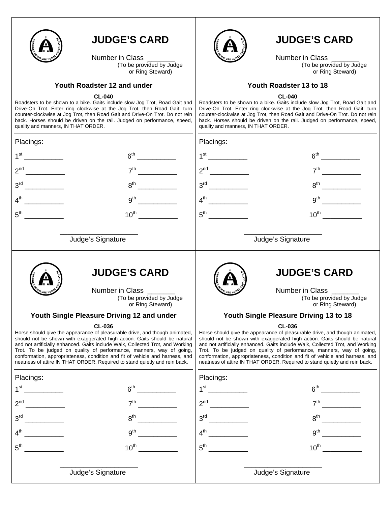

Number in Class<br>(To be provided by Judge or Ring Steward)

## **Youth Roadster 12 and under**

#### **CL-040**

Roadsters to be shown to a bike. Gaits include slow Jog Trot, Road Gait and Drive-On Trot. Enter ring clockwise at the Jog Trot, then Road Gait: turn counter-clockwise at Jog Trot, then Road Gait and Drive-On Trot. Do not rein back. Horses should be driven on the rail. Judged on performance, speed, quality and manners, IN THAT ORDER.



## **JUDGE'S CARD**

Number in Class<br>(To be provided by Judge or Ring Steward)

### **Youth Roadster 13 to 18**

#### **CL-040**

Roadsters to be shown to a bike. Gaits include slow Jog Trot, Road Gait and Drive-On Trot. Enter ring clockwise at the Jog Trot, then Road Gait: turn counter-clockwise at Jog Trot, then Road Gait and Drive-On Trot. Do not rein back. Horses should be driven on the rail. Judged on performance, speed, quality and manners, IN THAT ORDER.

| Placings:                                  |                                                                                                                                                                                                                                                                                                                                                                                                                                                                                                   |                                              | Placings:                              |                                                                                                                                                                                                                                                                                                                                                                                                                                                                                                   |                                                                                                                                                                                                                                      |  |
|--------------------------------------------|---------------------------------------------------------------------------------------------------------------------------------------------------------------------------------------------------------------------------------------------------------------------------------------------------------------------------------------------------------------------------------------------------------------------------------------------------------------------------------------------------|----------------------------------------------|----------------------------------------|---------------------------------------------------------------------------------------------------------------------------------------------------------------------------------------------------------------------------------------------------------------------------------------------------------------------------------------------------------------------------------------------------------------------------------------------------------------------------------------------------|--------------------------------------------------------------------------------------------------------------------------------------------------------------------------------------------------------------------------------------|--|
| 1 <sup>st</sup>                            |                                                                                                                                                                                                                                                                                                                                                                                                                                                                                                   | 6 <sup>th</sup>                              |                                        |                                                                                                                                                                                                                                                                                                                                                                                                                                                                                                   |                                                                                                                                                                                                                                      |  |
| 2 <sup>nd</sup>                            | 7 <sup>th</sup>                                                                                                                                                                                                                                                                                                                                                                                                                                                                                   |                                              |                                        |                                                                                                                                                                                                                                                                                                                                                                                                                                                                                                   |                                                                                                                                                                                                                                      |  |
| 3 <sup>rd</sup>                            | $8^{\text{th}}$                                                                                                                                                                                                                                                                                                                                                                                                                                                                                   |                                              |                                        | $8^{\sf th}$                                                                                                                                                                                                                                                                                                                                                                                                                                                                                      | <u>and a strategic of the strategic of the strategic of the strategic of the strategic of the strategic of the strategic of the strategic of the strategic of the strategic of the strategic of the strategic of the strategic o</u> |  |
| 4 <sup>th</sup>                            | $9^{\text{th}}$                                                                                                                                                                                                                                                                                                                                                                                                                                                                                   |                                              | $4^{\text{th}}$                        | $9^{\text{th}}$                                                                                                                                                                                                                                                                                                                                                                                                                                                                                   |                                                                                                                                                                                                                                      |  |
| 5 <sup>th</sup><br><u> 1999 - Jan Jawa</u> | $10^{\text{th}}$                                                                                                                                                                                                                                                                                                                                                                                                                                                                                  |                                              |                                        | $10^{\text{th}}$                                                                                                                                                                                                                                                                                                                                                                                                                                                                                  |                                                                                                                                                                                                                                      |  |
| Judge's Signature                          |                                                                                                                                                                                                                                                                                                                                                                                                                                                                                                   |                                              |                                        | Judge's Signature                                                                                                                                                                                                                                                                                                                                                                                                                                                                                 |                                                                                                                                                                                                                                      |  |
|                                            | <b>JUDGE'S CARD</b><br>Number in Class                                                                                                                                                                                                                                                                                                                                                                                                                                                            | (To be provided by Judge<br>or Ring Steward) |                                        | <b>JUDGE'S CARD</b><br>Number in Class                                                                                                                                                                                                                                                                                                                                                                                                                                                            | (To be provided by Judge<br>or Ring Steward)                                                                                                                                                                                         |  |
|                                            | Youth Single Pleasure Driving 12 and under                                                                                                                                                                                                                                                                                                                                                                                                                                                        |                                              | Youth Single Pleasure Driving 13 to 18 |                                                                                                                                                                                                                                                                                                                                                                                                                                                                                                   |                                                                                                                                                                                                                                      |  |
|                                            | <b>CL-036</b><br>Horse should give the appearance of pleasurable drive, and though animated,<br>should not be shown with exaggerated high action. Gaits should be natural<br>and not artificially enhanced. Gaits include Walk, Collected Trot, and Working<br>Trot. To be judged on quality of performance, manners, way of going,<br>conformation, appropriateness, condition and fit of vehicle and harness, and<br>neatness of attire IN THAT ORDER. Required to stand quietly and rein back. |                                              |                                        | <b>CL-036</b><br>Horse should give the appearance of pleasurable drive, and though animated,<br>should not be shown with exaggerated high action. Gaits should be natural<br>and not artificially enhanced. Gaits include Walk, Collected Trot, and Working<br>Trot. To be judged on quality of performance, manners, way of going,<br>conformation, appropriateness, condition and fit of vehicle and harness, and<br>neatness of attire IN THAT ORDER. Required to stand quietly and rein back. |                                                                                                                                                                                                                                      |  |
| Placings:                                  |                                                                                                                                                                                                                                                                                                                                                                                                                                                                                                   |                                              | Placings:                              |                                                                                                                                                                                                                                                                                                                                                                                                                                                                                                   |                                                                                                                                                                                                                                      |  |
|                                            | 6 <sup>th</sup>                                                                                                                                                                                                                                                                                                                                                                                                                                                                                   |                                              | $1^{\rm st}$                           |                                                                                                                                                                                                                                                                                                                                                                                                                                                                                                   | $6^{th}$                                                                                                                                                                                                                             |  |
| 2 <sup>nd</sup>                            | 7 <sup>th</sup>                                                                                                                                                                                                                                                                                                                                                                                                                                                                                   |                                              |                                        | 7 <sup>th</sup>                                                                                                                                                                                                                                                                                                                                                                                                                                                                                   |                                                                                                                                                                                                                                      |  |
| $3^{\text{rd}}$                            | 8 <sup>th</sup>                                                                                                                                                                                                                                                                                                                                                                                                                                                                                   |                                              | 3 <sup>rd</sup>                        | $8^{\text{th}}$                                                                                                                                                                                                                                                                                                                                                                                                                                                                                   |                                                                                                                                                                                                                                      |  |
| 4 <sup>th</sup>                            | 9 <sup>th</sup>                                                                                                                                                                                                                                                                                                                                                                                                                                                                                   |                                              | 4 <sup>th</sup>                        | 9 <sup>th</sup>                                                                                                                                                                                                                                                                                                                                                                                                                                                                                   |                                                                                                                                                                                                                                      |  |
| 5 <sup>th</sup>                            | $10^{\text{th}}$                                                                                                                                                                                                                                                                                                                                                                                                                                                                                  |                                              | $5^{\text{th}}$                        | $10^{th}$                                                                                                                                                                                                                                                                                                                                                                                                                                                                                         |                                                                                                                                                                                                                                      |  |
| Judge's Signature                          |                                                                                                                                                                                                                                                                                                                                                                                                                                                                                                   |                                              |                                        | Judge's Signature                                                                                                                                                                                                                                                                                                                                                                                                                                                                                 |                                                                                                                                                                                                                                      |  |
|                                            |                                                                                                                                                                                                                                                                                                                                                                                                                                                                                                   |                                              |                                        |                                                                                                                                                                                                                                                                                                                                                                                                                                                                                                   |                                                                                                                                                                                                                                      |  |